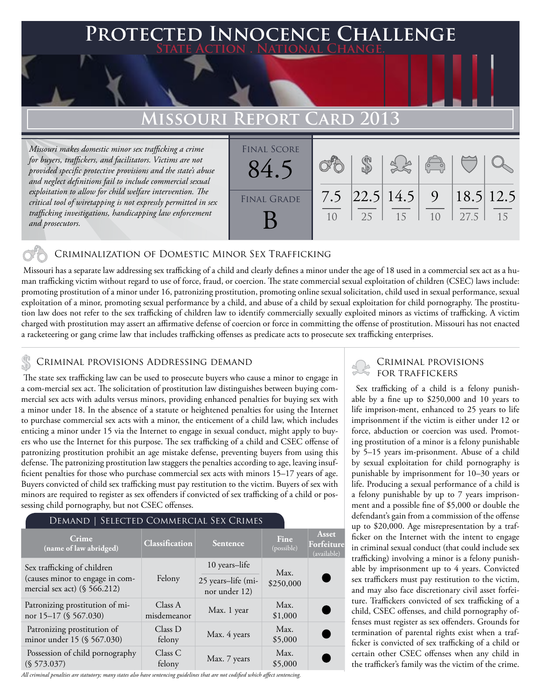## **PECTED INNOCENCE CHALLENGE State Action . National Change.**

## **Missouri Report Card 2013**

*Missouri makes domestic minor sex trafficking a crime for buyers, traffickers, and facilitators. Victims are not provided specific protective provisions and the state's abuse and neglect definitions fail to include commercial sexual exploitation to allow for child welfare intervention. The critical tool of wiretapping is not expressly permitted in sex trafficking investigations, handicapping law enforcement and prosecutors.*



## Criminalization of Domestic Minor Sex Trafficking

 Missouri has a separate law addressing sex trafficking of a child and clearly defines a minor under the age of 18 used in a commercial sex act as a human trafficking victim without regard to use of force, fraud, or coercion. The state commercial sexual exploitation of children (CSEC) laws include: promoting prostitution of a minor under 16, patronizing prostitution, promoting online sexual solicitation, child used in sexual performance, sexual exploitation of a minor, promoting sexual performance by a child, and abuse of a child by sexual exploitation for child pornography. The prostitution law does not refer to the sex trafficking of children law to identify commercially sexually exploited minors as victims of trafficking. A victim charged with prostitution may assert an affirmative defense of coercion or force in committing the offense of prostitution. Missouri has not enacted a racketeering or gang crime law that includes trafficking offenses as predicate acts to prosecute sex trafficking enterprises.

## CRIMINAL PROVISIONS ADDRESSING DEMAND

 The state sex trafficking law can be used to prosecute buyers who cause a minor to engage in a com-mercial sex act. The solicitation of prostitution law distinguishes between buying commercial sex acts with adults versus minors, providing enhanced penalties for buying sex with a minor under 18. In the absence of a statute or heightened penalties for using the Internet to purchase commercial sex acts with a minor, the enticement of a child law, which includes enticing a minor under 15 via the Internet to engage in sexual conduct, might apply to buyers who use the Internet for this purpose. The sex trafficking of a child and CSEC offense of patronizing prostitution prohibit an age mistake defense, preventing buyers from using this defense. The patronizing prostitution law staggers the penalties according to age, leaving insufficient penalties for those who purchase commercial sex acts with minors 15–17 years of age. Buyers convicted of child sex trafficking must pay restitution to the victim. Buyers of sex with minors are required to register as sex offenders if convicted of sex trafficking of a child or possessing child pornography, but not CSEC offenses.

## Demand | Selected Commercial Sex Crimes

| Crime<br>(name of law abridged)                                                                   | Classification         | <b>Sentence</b>                     | Fine<br>(possible) | Asset<br>Forfeiture<br>(available) |
|---------------------------------------------------------------------------------------------------|------------------------|-------------------------------------|--------------------|------------------------------------|
| Sex trafficking of children<br>(causes minor to engage in com-<br>mercial sex act) $(\S 566.212)$ | Felony                 | 10 years-life                       | Max.<br>\$250,000  |                                    |
|                                                                                                   |                        | 25 years-life (mi-<br>nor under 12) |                    |                                    |
| Patronizing prostitution of mi-<br>nor 15-17 (§ 567.030)                                          | Class A<br>misdemeanor | Max. 1 year                         | Max.<br>\$1,000    | C                                  |
| Patronizing prostitution of<br>minor under 15 (§ 567.030)                                         | Class D<br>felony      | Max. 4 years                        | Max.<br>\$5,000    | $\blacksquare$                     |
| Possession of child pornography<br>(S 573.037)                                                    | Class C<br>felony      | Max. 7 years                        | Max.<br>\$5,000    |                                    |

*All criminal penalties are statutory; many states also have sentencing guidelines that are not codified which affect sentencing.* 

# Criminal provisions

 Sex trafficking of a child is a felony punishable by a fine up to \$250,000 and 10 years to life imprison-ment, enhanced to 25 years to life imprisonment if the victim is either under 12 or force, abduction or coercion was used. Promoting prostitution of a minor is a felony punishable by 5–15 years im-prisonment. Abuse of a child by sexual exploitation for child pornography is punishable by imprisonment for 10–30 years or life. Producing a sexual performance of a child is a felony punishable by up to 7 years imprisonment and a possible fine of \$5,000 or double the defendant's gain from a commission of the offense up to \$20,000. Age misrepresentation by a trafficker on the Internet with the intent to engage in criminal sexual conduct (that could include sex trafficking) involving a minor is a felony punishable by imprisonment up to 4 years. Convicted sex traffickers must pay restitution to the victim, and may also face discretionary civil asset forfeiture. Traffickers convicted of sex trafficking of a child, CSEC offenses, and child pornography offenses must register as sex offenders. Grounds for termination of parental rights exist when a trafficker is convicted of sex trafficking of a child or certain other CSEC offenses when any child in the trafficker's family was the victim of the crime.